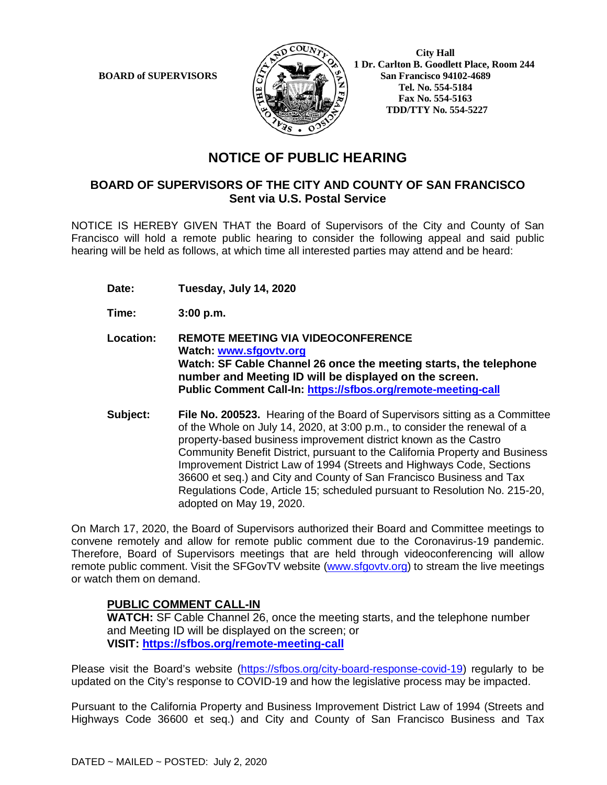**BOARD of SUPERVISORS** 



 **City Hall 1 Dr. Carlton B. Goodlett Place, Room 244 Tel. No. 554-5184 Fax No. 554-5163 TDD/TTY No. 554-5227** 

## **NOTICE OF PUBLIC HEARING**

#### **BOARD OF SUPERVISORS OF THE CITY AND COUNTY OF SAN FRANCISCO Sent via U.S. Postal Service**

NOTICE IS HEREBY GIVEN THAT the Board of Supervisors of the City and County of San Francisco will hold a remote public hearing to consider the following appeal and said public hearing will be held as follows, at which time all interested parties may attend and be heard:

- **Date: Tuesday, July 14, 2020**
- **Time: 3:00 p.m.**
- **Location: REMOTE MEETING VIA VIDEOCONFERENCE Watch: www.sfgovtv.org Watch: SF Cable Channel 26 once the meeting starts, the telephone number and Meeting ID will be displayed on the screen. Public Comment Call-In: https://sfbos.org/remote-meeting-call**
- **Subject: File No. 200523.** Hearing of the Board of Supervisors sitting as a Committee of the Whole on July 14, 2020, at 3:00 p.m., to consider the renewal of a property-based business improvement district known as the Castro Community Benefit District, pursuant to the California Property and Business Improvement District Law of 1994 (Streets and Highways Code, Sections 36600 et seq.) and City and County of San Francisco Business and Tax Regulations Code, Article 15; scheduled pursuant to Resolution No. 215-20, adopted on May 19, 2020.

On March 17, 2020, the Board of Supervisors authorized their Board and Committee meetings to convene remotely and allow for remote public comment due to the Coronavirus-19 pandemic. Therefore, Board of Supervisors meetings that are held through videoconferencing will allow remote public comment. Visit the SFGovTV website (www.sfgovtv.org) to stream the live meetings or watch them on demand.

#### **PUBLIC COMMENT CALL-IN**

**WATCH:** SF Cable Channel 26, once the meeting starts, and the telephone number and Meeting ID will be displayed on the screen; or **VISIT: https://sfbos.org/remote-meeting-call**

Please visit the Board's website (https://sfbos.org/city-board-response-covid-19) regularly to be updated on the City's response to COVID-19 and how the legislative process may be impacted.

Pursuant to the California Property and Business Improvement District Law of 1994 (Streets and Highways Code 36600 et seq.) and City and County of San Francisco Business and Tax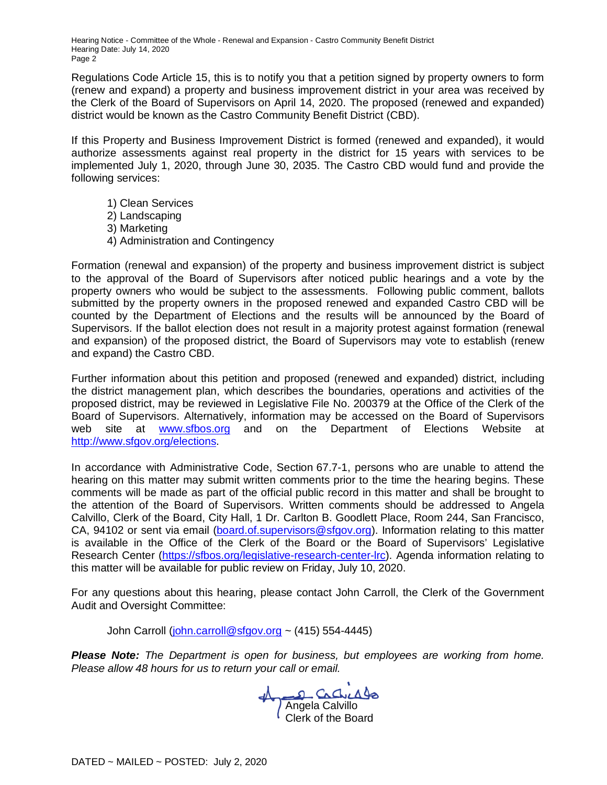Hearing Notice - Committee of the Whole - Renewal and Expansion - Castro Community Benefit District Hearing Date: July 14, 2020 Page 2

Regulations Code Article 15, this is to notify you that a petition signed by property owners to form (renew and expand) a property and business improvement district in your area was received by the Clerk of the Board of Supervisors on April 14, 2020. The proposed (renewed and expanded) district would be known as the Castro Community Benefit District (CBD).

If this Property and Business Improvement District is formed (renewed and expanded), it would authorize assessments against real property in the district for 15 years with services to be implemented July 1, 2020, through June 30, 2035. The Castro CBD would fund and provide the following services:

- 1) Clean Services
- 2) Landscaping
- 3) Marketing
- 4) Administration and Contingency

Formation (renewal and expansion) of the property and business improvement district is subject to the approval of the Board of Supervisors after noticed public hearings and a vote by the property owners who would be subject to the assessments. Following public comment, ballots submitted by the property owners in the proposed renewed and expanded Castro CBD will be counted by the Department of Elections and the results will be announced by the Board of Supervisors. If the ballot election does not result in a majority protest against formation (renewal and expansion) of the proposed district, the Board of Supervisors may vote to establish (renew and expand) the Castro CBD.

Further information about this petition and proposed (renewed and expanded) district, including the district management plan, which describes the boundaries, operations and activities of the proposed district, may be reviewed in Legislative File No. 200379 at the Office of the Clerk of the Board of Supervisors. Alternatively, information may be accessed on the Board of Supervisors web site at www.sfbos.org and on the Department of Elections Website at http://www.sfgov.org/elections.

In accordance with Administrative Code, Section 67.7-1, persons who are unable to attend the hearing on this matter may submit written comments prior to the time the hearing begins. These comments will be made as part of the official public record in this matter and shall be brought to the attention of the Board of Supervisors. Written comments should be addressed to Angela Calvillo, Clerk of the Board, City Hall, 1 Dr. Carlton B. Goodlett Place, Room 244, San Francisco, CA, 94102 or sent via email (board.of.supervisors@sfgov.org). Information relating to this matter is available in the Office of the Clerk of the Board or the Board of Supervisors' Legislative Research Center (https://sfbos.org/legislative-research-center-lrc). Agenda information relating to this matter will be available for public review on Friday, July 10, 2020.

For any questions about this hearing, please contact John Carroll, the Clerk of the Government Audit and Oversight Committee:

John Carroll (john.carroll@sfgov.org ~  $(415)$  554-4445)

*Please Note: The Department is open for business, but employees are working from home. Please allow 48 hours for us to return your call or email.* 

Angela Calvillo Clerk of the Board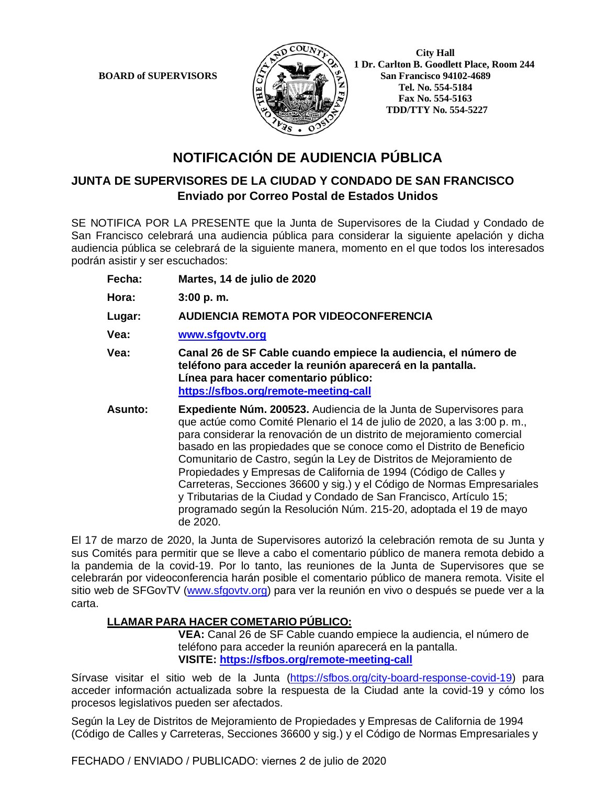**BOARD of SUPERVISORS** 



 **City Hall 1 Dr. Carlton B. Goodlett Place, Room 244 Tel. No. 554-5184 Fax No. 554-5163 TDD/TTY No. 554-5227** 

# **NOTIFICACIÓN DE AUDIENCIA PÚBLICA**

## **JUNTA DE SUPERVISORES DE LA CIUDAD Y CONDADO DE SAN FRANCISCO Enviado por Correo Postal de Estados Unidos**

SE NOTIFICA POR LA PRESENTE que la Junta de Supervisores de la Ciudad y Condado de San Francisco celebrará una audiencia pública para considerar la siguiente apelación y dicha audiencia pública se celebrará de la siguiente manera, momento en el que todos los interesados podrán asistir y ser escuchados:

- **Fecha: Martes, 14 de julio de 2020**
- **Hora: 3:00 p. m.**
- **Lugar: AUDIENCIA REMOTA POR VIDEOCONFERENCIA**
- **Vea: www.sfgovtv.org**
- **Vea: Canal 26 de SF Cable cuando empiece la audiencia, el número de teléfono para acceder la reunión aparecerá en la pantalla. Línea para hacer comentario público: https://sfbos.org/remote-meeting-call**
- **Asunto: Expediente Núm. 200523.** Audiencia de la Junta de Supervisores para que actúe como Comité Plenario el 14 de julio de 2020, a las 3:00 p. m., para considerar la renovación de un distrito de mejoramiento comercial basado en las propiedades que se conoce como el Distrito de Beneficio Comunitario de Castro, según la Ley de Distritos de Mejoramiento de Propiedades y Empresas de California de 1994 (Código de Calles y Carreteras, Secciones 36600 y sig.) y el Código de Normas Empresariales y Tributarias de la Ciudad y Condado de San Francisco, Artículo 15; programado según la Resolución Núm. 215-20, adoptada el 19 de mayo de 2020.

El 17 de marzo de 2020, la Junta de Supervisores autorizó la celebración remota de su Junta y sus Comités para permitir que se lleve a cabo el comentario público de manera remota debido a la pandemia de la covid-19. Por lo tanto, las reuniones de la Junta de Supervisores que se celebrarán por videoconferencia harán posible el comentario público de manera remota. Visite el sitio web de SFGovTV (www.sfgovtv.org) para ver la reunión en vivo o después se puede ver a la carta.

#### **LLAMAR PARA HACER COMETARIO PÚBLICO:**

**VEA:** Canal 26 de SF Cable cuando empiece la audiencia, el número de teléfono para acceder la reunión aparecerá en la pantalla. **VISITE: https://sfbos.org/remote-meeting-call**

Sírvase visitar el sitio web de la Junta (https://sfbos.org/city-board-response-covid-19) para acceder información actualizada sobre la respuesta de la Ciudad ante la covid-19 y cómo los procesos legislativos pueden ser afectados.

Según la Ley de Distritos de Mejoramiento de Propiedades y Empresas de California de 1994 (Código de Calles y Carreteras, Secciones 36600 y sig.) y el Código de Normas Empresariales y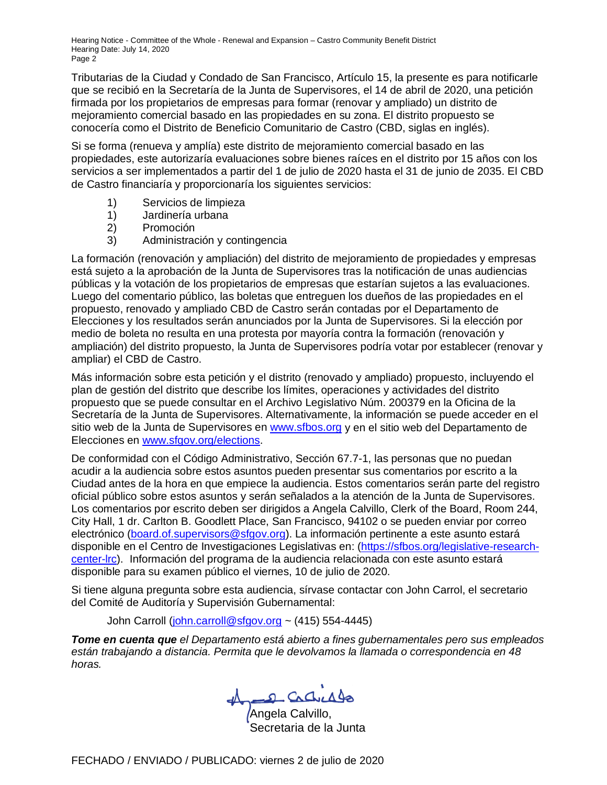Hearing Notice - Committee of the Whole - Renewal and Expansion – Castro Community Benefit District Hearing Date: July 14, 2020 Page 2

Tributarias de la Ciudad y Condado de San Francisco, Artículo 15, la presente es para notificarle que se recibió en la Secretaría de la Junta de Supervisores, el 14 de abril de 2020, una petición firmada por los propietarios de empresas para formar (renovar y ampliado) un distrito de mejoramiento comercial basado en las propiedades en su zona. El distrito propuesto se conocería como el Distrito de Beneficio Comunitario de Castro (CBD, siglas en inglés).

Si se forma (renueva y amplía) este distrito de mejoramiento comercial basado en las propiedades, este autorizaría evaluaciones sobre bienes raíces en el distrito por 15 años con los servicios a ser implementados a partir del 1 de julio de 2020 hasta el 31 de junio de 2035. El CBD de Castro financiaría y proporcionaría los siguientes servicios:

- 1) Servicios de limpieza
- 1) Jardinería urbana
- 2) Promoción
- 3) Administración y contingencia

La formación (renovación y ampliación) del distrito de mejoramiento de propiedades y empresas está sujeto a la aprobación de la Junta de Supervisores tras la notificación de unas audiencias públicas y la votación de los propietarios de empresas que estarían sujetos a las evaluaciones. Luego del comentario público, las boletas que entreguen los dueños de las propiedades en el propuesto, renovado y ampliado CBD de Castro serán contadas por el Departamento de Elecciones y los resultados serán anunciados por la Junta de Supervisores. Si la elección por medio de boleta no resulta en una protesta por mayoría contra la formación (renovación y ampliación) del distrito propuesto, la Junta de Supervisores podría votar por establecer (renovar y ampliar) el CBD de Castro.

Más información sobre esta petición y el distrito (renovado y ampliado) propuesto, incluyendo el plan de gestión del distrito que describe los límites, operaciones y actividades del distrito propuesto que se puede consultar en el Archivo Legislativo Núm. 200379 en la Oficina de la Secretaría de la Junta de Supervisores. Alternativamente, la información se puede acceder en el sitio web de la Junta de Supervisores en www.sfbos.org y en el sitio web del Departamento de Elecciones en www.sfgov.org/elections.

De conformidad con el Código Administrativo, Sección 67.7-1, las personas que no puedan acudir a la audiencia sobre estos asuntos pueden presentar sus comentarios por escrito a la Ciudad antes de la hora en que empiece la audiencia. Estos comentarios serán parte del registro oficial público sobre estos asuntos y serán señalados a la atención de la Junta de Supervisores. Los comentarios por escrito deben ser dirigidos a Angela Calvillo, Clerk of the Board, Room 244, City Hall, 1 dr. Carlton B. Goodlett Place, San Francisco, 94102 o se pueden enviar por correo electrónico (board.of.supervisors@sfgov.org). La información pertinente a este asunto estará disponible en el Centro de Investigaciones Legislativas en: (https://sfbos.org/legislative-researchcenter-lrc). Información del programa de la audiencia relacionada con este asunto estará disponible para su examen público el viernes, 10 de julio de 2020.

Si tiene alguna pregunta sobre esta audiencia, sírvase contactar con John Carrol, el secretario del Comité de Auditoría y Supervisión Gubernamental:

John Carroll (john.carroll@sfgov.org ~  $(415)$  554-4445)

*Tome en cuenta que el Departamento está abierto a fines gubernamentales pero sus empleados están trabajando a distancia. Permita que le devolvamos la llamada o correspondencia en 48 horas.*

Angela Calvillo,

Secretaria de la Junta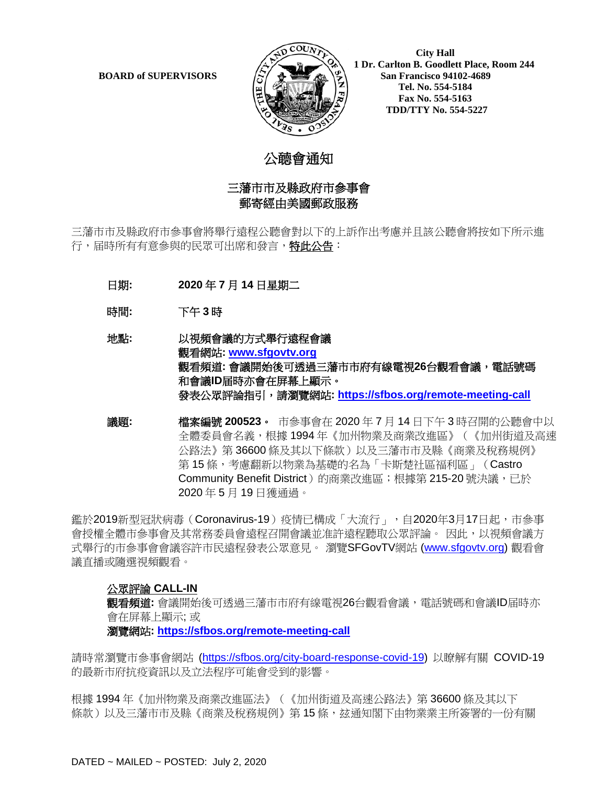

 **City Hall 1 Dr. Carlton B. Goodlett Place, Room 244 BOARD of SUPERVISORS**  $\left(\frac{S}{I}\right)$   $\oplus$   $\left(\frac{S}{I}\right)$  San Francisco 94102-4689  **Tel. No. 554-5184 Fax No. 554-5163 TDD/TTY No. 554-5227**

# 公聼會通知

### 三藩市市及縣政府市參事會 郵寄經由美國郵政服務

三藩市市及縣政府市參事會將舉行遠程公聽會對以下的上訴作出考慮并且該公聽會將按如下所示進 行,届時所有有意參與的民眾可出席和發言,特此公告:

- 日期**: 2020** 年 **7** 月 **14** 日星期二
- 時間**:** 下午 **3** 時
- 地點**:** 以視頻會議的方式舉行遠程會議 觀看網站**: [www.sfgovtv.org](http://www.sfgovtv.org/)** 觀看頻道**:** 會議開始後可透過三藩市市府有線電視**26**台觀看會議,電話號碼 和會議**ID**届時亦會在屏幕上顯示。 發表公眾評論指引,請瀏覽網站**:<https://sfbos.org/remote-meeting-call>**
- 議題**:** 檔案編號 **200523**。市參事會在 2020 年 7 月 14 日下午 3 時召開的公聽會中以 全體委員會名義,根據 1994 年《加州物業及商業改進區》(《加州街道及高速 公路法》第 36600 條及其以下條款)以及三藩市市及縣《商業及稅務規例》 第 15 條,考慮翻新以物業為基礎的名為「卡斯楚社區福利區」(Castro Community Benefit District)的商業改進區;根據第 215-20 號決議,已於 2020 年 5 月 19 日獲通過。

鑑於2019新型冠狀病毒(Coronavirus-19)疫情已構成「大流行」,自2020年3月17日起,市參事 會授權全體市參事會及其常務委員會遠程召開會議並准許遠程聽取公眾評論。 因此,以視頻會議方 式舉行的市參事會會議容許市民遠程發表公眾意見。 瀏覽SFGovTV網站 [\(www.sfgovtv.org\)](http://www.sfgovtv.org/) 觀看會 議直播或隨選視頻觀看。

#### 公眾評論 **CALL-IN**

觀看頻道**:** 會議開始後可透過三藩市市府有線電視26台觀看會議,電話號碼和會議ID届時亦 會在屏幕上顯示; 或

瀏覽網站**:<https://sfbos.org/remote-meeting-call>**

請時常瀏覽市參事會網站 [\(https://sfbos.org/city-board-response-covid-19\)](https://sfbos.org/city-board-response-covid-19) 以瞭解有關 COVID-19 的最新市府抗疫資訊以及立法程序可能會受到的影響。

根據 1994 年《加州物業及商業改進區法》(《加州街道及高速公路法》第 36600 條及其以下 條款)以及三藩市市及縣《商業及稅務規例》第 15 條,玆通知閣下由物業業主所簽署的一份有關